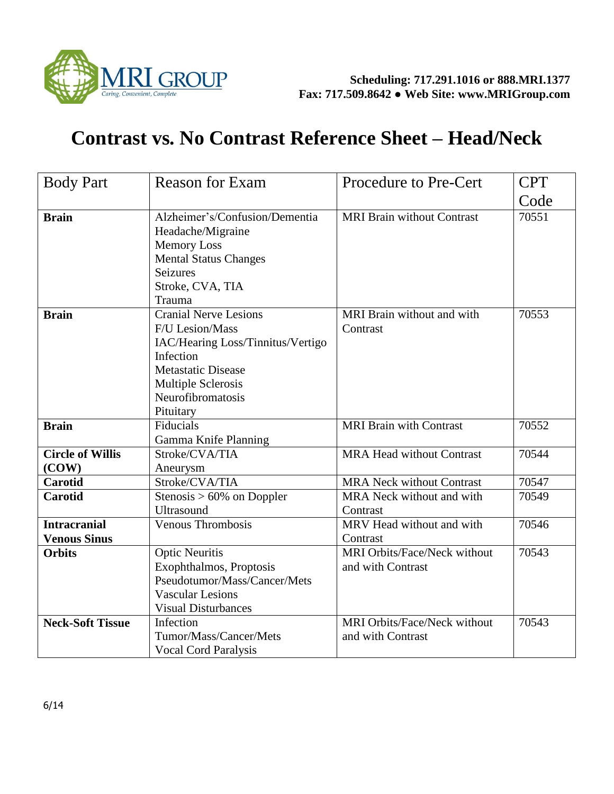

## **Contrast vs. No Contrast Reference Sheet – Head/Neck**

| <b>Body Part</b>                           | <b>Reason for Exam</b>                                                                                                                                                                 | <b>Procedure to Pre-Cert</b>                             | <b>CPT</b> |
|--------------------------------------------|----------------------------------------------------------------------------------------------------------------------------------------------------------------------------------------|----------------------------------------------------------|------------|
|                                            |                                                                                                                                                                                        |                                                          | Code       |
| <b>Brain</b>                               | Alzheimer's/Confusion/Dementia<br>Headache/Migraine<br><b>Memory Loss</b><br><b>Mental Status Changes</b><br><b>Seizures</b><br>Stroke, CVA, TIA<br>Trauma                             | <b>MRI Brain without Contrast</b>                        | 70551      |
| <b>Brain</b>                               | <b>Cranial Nerve Lesions</b><br>F/U Lesion/Mass<br>IAC/Hearing Loss/Tinnitus/Vertigo<br>Infection<br><b>Metastatic Disease</b><br>Multiple Sclerosis<br>Neurofibromatosis<br>Pituitary | MRI Brain without and with<br>Contrast                   | 70553      |
| <b>Brain</b>                               | Fiducials<br>Gamma Knife Planning                                                                                                                                                      | <b>MRI Brain with Contrast</b>                           | 70552      |
| <b>Circle of Willis</b><br>(COW)           | Stroke/CVA/TIA<br>Aneurysm                                                                                                                                                             | <b>MRA Head without Contrast</b>                         | 70544      |
| <b>Carotid</b>                             | Stroke/CVA/TIA                                                                                                                                                                         | <b>MRA Neck without Contrast</b>                         | 70547      |
| <b>Carotid</b>                             | Stenosis $> 60\%$ on Doppler<br><b>Ultrasound</b>                                                                                                                                      | MRA Neck without and with<br>Contrast                    | 70549      |
| <b>Intracranial</b><br><b>Venous Sinus</b> | Venous Thrombosis                                                                                                                                                                      | MRV Head without and with<br>Contrast                    | 70546      |
| <b>Orbits</b>                              | <b>Optic Neuritis</b><br>Exophthalmos, Proptosis<br>Pseudotumor/Mass/Cancer/Mets<br><b>Vascular Lesions</b><br><b>Visual Disturbances</b>                                              | MRI Orbits/Face/Neck without<br>and with Contrast        | 70543      |
| <b>Neck-Soft Tissue</b>                    | Infection<br>Tumor/Mass/Cancer/Mets<br><b>Vocal Cord Paralysis</b>                                                                                                                     | <b>MRI Orbits/Face/Neck without</b><br>and with Contrast | 70543      |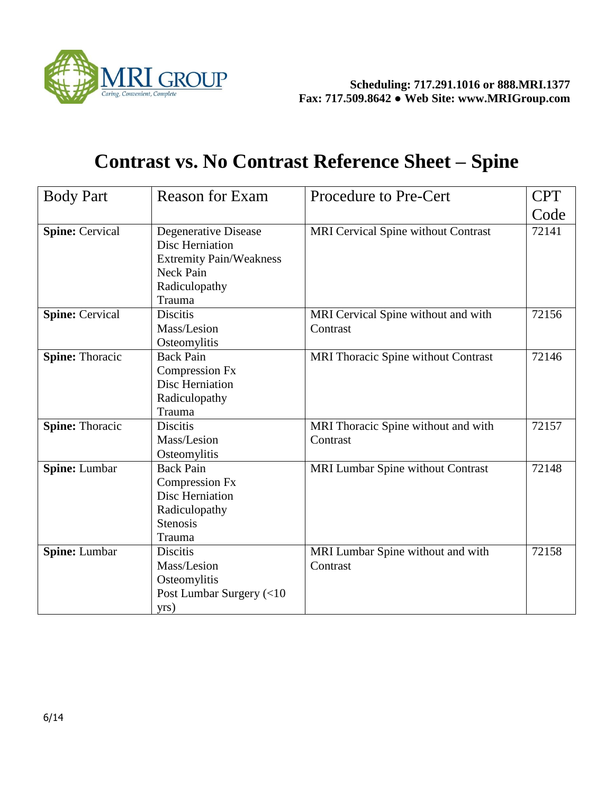

## **Contrast vs. No Contrast Reference Sheet – Spine**

| <b>Body Part</b>       | <b>Reason for Exam</b>                                                                                                   | <b>Procedure to Pre-Cert</b>                    | <b>CPT</b> |
|------------------------|--------------------------------------------------------------------------------------------------------------------------|-------------------------------------------------|------------|
|                        |                                                                                                                          |                                                 | Code       |
| <b>Spine: Cervical</b> | Degenerative Disease<br><b>Disc Herniation</b><br><b>Extremity Pain/Weakness</b><br>Neck Pain<br>Radiculopathy<br>Trauma | MRI Cervical Spine without Contrast             | 72141      |
| Spine: Cervical        | <b>Discitis</b><br>Mass/Lesion<br>Osteomylitis                                                                           | MRI Cervical Spine without and with<br>Contrast | 72156      |
| <b>Spine: Thoracic</b> | <b>Back Pain</b><br><b>Compression Fx</b><br><b>Disc Herniation</b><br>Radiculopathy<br>Trauma                           | MRI Thoracic Spine without Contrast             | 72146      |
| <b>Spine: Thoracic</b> | <b>Discitis</b><br>Mass/Lesion<br>Osteomylitis                                                                           | MRI Thoracic Spine without and with<br>Contrast | 72157      |
| Spine: Lumbar          | <b>Back Pain</b><br><b>Compression Fx</b><br>Disc Herniation<br>Radiculopathy<br><b>Stenosis</b><br>Trauma               | MRI Lumbar Spine without Contrast               | 72148      |
| Spine: Lumbar          | <b>Discitis</b><br>Mass/Lesion<br>Osteomylitis<br>Post Lumbar Surgery (<10<br>yrs)                                       | MRI Lumbar Spine without and with<br>Contrast   | 72158      |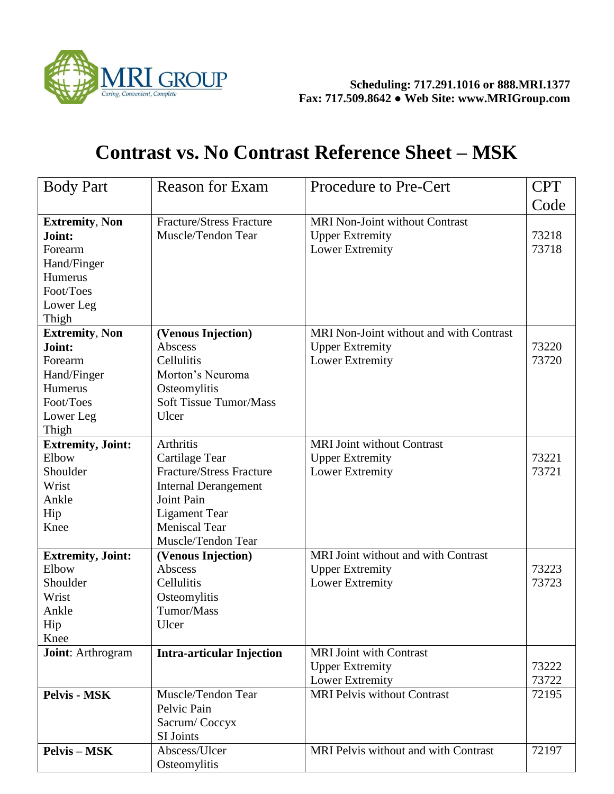

## **Contrast vs. No Contrast Reference Sheet – MSK**

| <b>Body Part</b>                                                                                        | <b>Reason for Exam</b>                                                                                                                                               | Procedure to Pre-Cert                                                              | <b>CPT</b>     |
|---------------------------------------------------------------------------------------------------------|----------------------------------------------------------------------------------------------------------------------------------------------------------------------|------------------------------------------------------------------------------------|----------------|
|                                                                                                         |                                                                                                                                                                      |                                                                                    | Code           |
| <b>Extremity, Non</b><br>Joint:<br>Forearm<br>Hand/Finger<br>Humerus<br>Foot/Toes<br>Lower Leg<br>Thigh | <b>Fracture/Stress Fracture</b><br>Muscle/Tendon Tear                                                                                                                | <b>MRI Non-Joint without Contrast</b><br><b>Upper Extremity</b><br>Lower Extremity | 73218<br>73718 |
| <b>Extremity, Non</b>                                                                                   | (Venous Injection)                                                                                                                                                   | MRI Non-Joint without and with Contrast                                            |                |
| Joint:<br>Forearm<br>Hand/Finger<br><b>Humerus</b><br>Foot/Toes<br>Lower Leg<br>Thigh                   | Abscess<br>Cellulitis<br>Morton's Neuroma<br>Osteomylitis<br><b>Soft Tissue Tumor/Mass</b><br>Ulcer                                                                  | <b>Upper Extremity</b><br>Lower Extremity                                          | 73220<br>73720 |
| <b>Extremity</b> , Joint:                                                                               | <b>Arthritis</b>                                                                                                                                                     | <b>MRI Joint without Contrast</b>                                                  |                |
| Elbow<br>Shoulder<br>Wrist<br>Ankle<br>Hip<br>Knee                                                      | Cartilage Tear<br><b>Fracture/Stress Fracture</b><br><b>Internal Derangement</b><br>Joint Pain<br><b>Ligament Tear</b><br><b>Meniscal Tear</b><br>Muscle/Tendon Tear | <b>Upper Extremity</b><br>Lower Extremity                                          | 73221<br>73721 |
| <b>Extremity, Joint:</b>                                                                                | (Venous Injection)                                                                                                                                                   | MRI Joint without and with Contrast                                                |                |
| Elbow<br>Shoulder<br>Wrist<br>Ankle<br>Hip<br>Knee                                                      | Abscess<br>Cellulitis<br>Osteomylitis<br>Tumor/Mass<br>Ulcer                                                                                                         | <b>Upper Extremity</b><br>Lower Extremity                                          | 73223<br>73723 |
| <b>Joint:</b> Arthrogram                                                                                | <b>Intra-articular Injection</b>                                                                                                                                     | <b>MRI</b> Joint with Contrast                                                     |                |
|                                                                                                         |                                                                                                                                                                      | <b>Upper Extremity</b><br>Lower Extremity                                          | 73222<br>73722 |
| <b>Pelvis - MSK</b>                                                                                     | Muscle/Tendon Tear<br>Pelvic Pain<br>Sacrum/Coccyx<br>SI Joints                                                                                                      | <b>MRI Pelvis without Contrast</b>                                                 | 72195          |
| <b>Pelvis - MSK</b>                                                                                     | Abscess/Ulcer<br>Osteomylitis                                                                                                                                        | MRI Pelvis without and with Contrast                                               | 72197          |